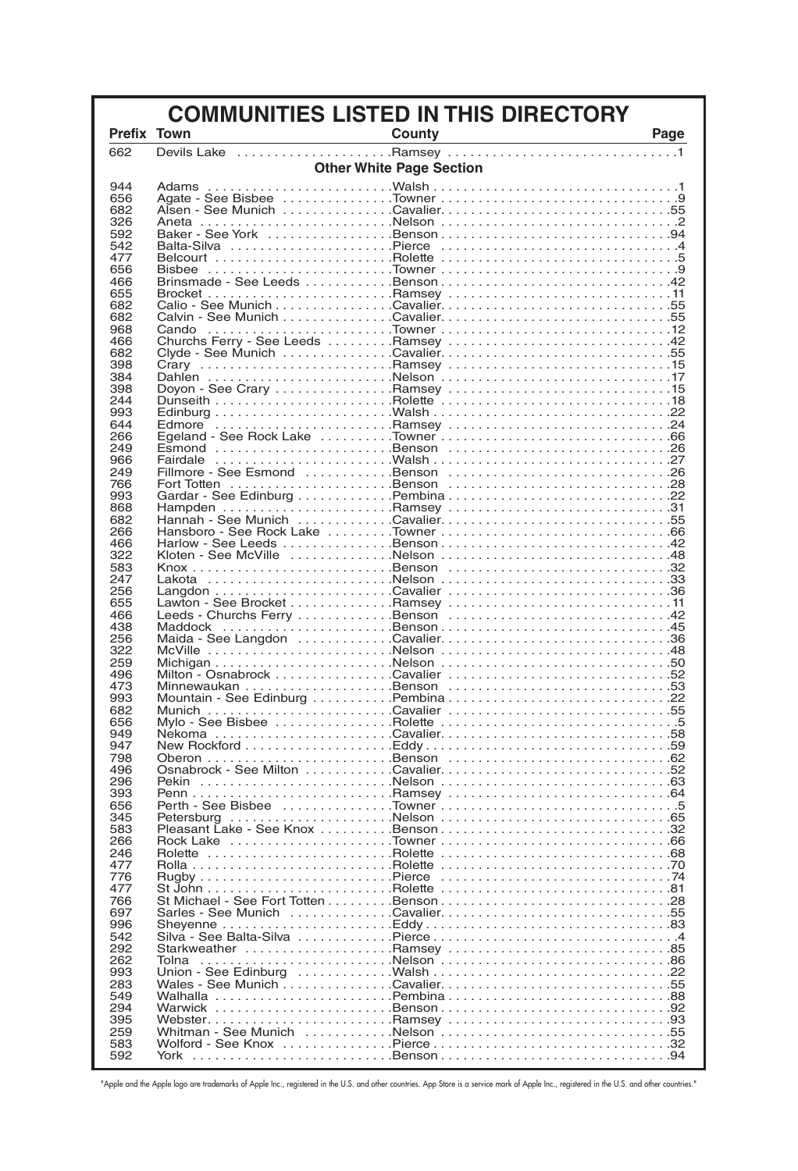| <b>COMMUNITIES LISTED IN THIS DIRECTORY</b> |                                 |                                                                                                                                      |  |
|---------------------------------------------|---------------------------------|--------------------------------------------------------------------------------------------------------------------------------------|--|
| <b>Prefix Town</b>                          | <b>Example 2</b> County         | Page<br><u> 1989 - Johann Stoff, fransk politik (d. 1989)</u>                                                                        |  |
| 662                                         |                                 |                                                                                                                                      |  |
|                                             | <b>Other White Page Section</b> |                                                                                                                                      |  |
| 944                                         |                                 |                                                                                                                                      |  |
| 656                                         |                                 |                                                                                                                                      |  |
| 682<br>326                                  |                                 |                                                                                                                                      |  |
| 592                                         |                                 |                                                                                                                                      |  |
| 542                                         |                                 |                                                                                                                                      |  |
| 477                                         |                                 |                                                                                                                                      |  |
| 656<br>466                                  |                                 |                                                                                                                                      |  |
| 655                                         |                                 |                                                                                                                                      |  |
| 682                                         |                                 |                                                                                                                                      |  |
| 682                                         |                                 |                                                                                                                                      |  |
| 968<br>466                                  |                                 | Churchs Ferry - See Leeds Ramsey 42                                                                                                  |  |
| 682                                         |                                 |                                                                                                                                      |  |
| 398                                         |                                 |                                                                                                                                      |  |
| 384                                         |                                 |                                                                                                                                      |  |
| 398<br>244                                  |                                 |                                                                                                                                      |  |
| 993                                         |                                 |                                                                                                                                      |  |
| 644                                         |                                 |                                                                                                                                      |  |
| 266                                         |                                 |                                                                                                                                      |  |
| 249<br>966                                  |                                 |                                                                                                                                      |  |
| 249                                         |                                 |                                                                                                                                      |  |
| 766                                         |                                 |                                                                                                                                      |  |
| 993                                         |                                 |                                                                                                                                      |  |
| 868<br>682                                  |                                 |                                                                                                                                      |  |
| 266                                         |                                 |                                                                                                                                      |  |
| 466                                         |                                 |                                                                                                                                      |  |
| 322                                         |                                 |                                                                                                                                      |  |
| 583<br>247                                  |                                 |                                                                                                                                      |  |
| 256                                         |                                 |                                                                                                                                      |  |
| 655                                         |                                 |                                                                                                                                      |  |
| 466                                         |                                 |                                                                                                                                      |  |
| 438<br>256                                  |                                 |                                                                                                                                      |  |
| 322                                         |                                 | McVille $\ldots \ldots \ldots \ldots \ldots \ldots \ldots$ . Nelson $\ldots \ldots \ldots \ldots \ldots \ldots \ldots \ldots \ldots$ |  |
| 259                                         |                                 |                                                                                                                                      |  |
| 496<br>473                                  |                                 |                                                                                                                                      |  |
| 993                                         |                                 |                                                                                                                                      |  |
| 682                                         |                                 |                                                                                                                                      |  |
| 656                                         |                                 |                                                                                                                                      |  |
| 949<br>947                                  |                                 |                                                                                                                                      |  |
| 798                                         |                                 |                                                                                                                                      |  |
| 496                                         |                                 |                                                                                                                                      |  |
| 296                                         |                                 |                                                                                                                                      |  |
| 393<br>656                                  |                                 |                                                                                                                                      |  |
| 345                                         |                                 |                                                                                                                                      |  |
| 583                                         |                                 |                                                                                                                                      |  |
| 266<br>246                                  |                                 |                                                                                                                                      |  |
| 477                                         |                                 |                                                                                                                                      |  |
| 776                                         |                                 |                                                                                                                                      |  |
| 477                                         |                                 |                                                                                                                                      |  |
| 766<br>697                                  |                                 | Sarles - See Munich Cavalier55                                                                                                       |  |
| 996                                         |                                 |                                                                                                                                      |  |
| 542                                         |                                 |                                                                                                                                      |  |
| 292                                         |                                 |                                                                                                                                      |  |
| 262<br>993                                  |                                 |                                                                                                                                      |  |
| 283                                         |                                 |                                                                                                                                      |  |
| 549                                         |                                 |                                                                                                                                      |  |
| 294<br>395                                  |                                 |                                                                                                                                      |  |
| 259                                         |                                 |                                                                                                                                      |  |
| 583                                         |                                 |                                                                                                                                      |  |
| 592                                         |                                 |                                                                                                                                      |  |

"Apple and the Apple logo are trademarks of Apple Inc., registered in the U.S. and other countries. App Store is a service mark of Apple Inc., registered in the U.S. and other countries."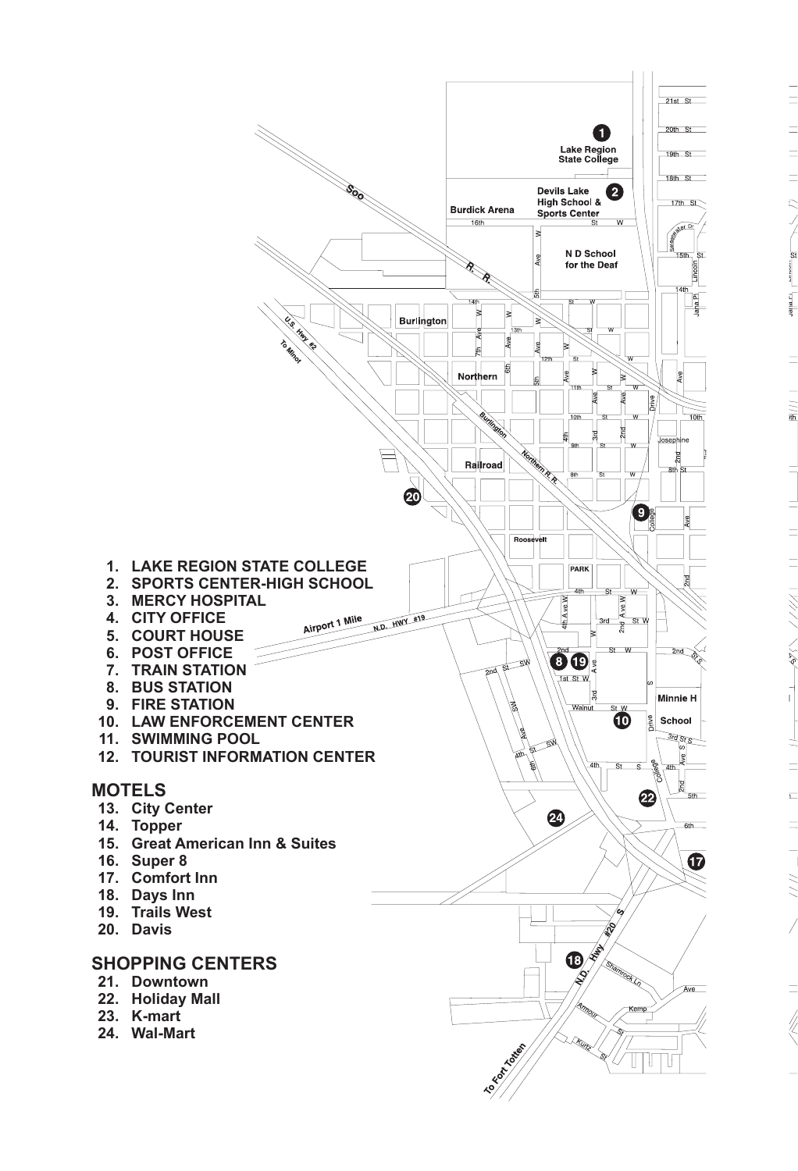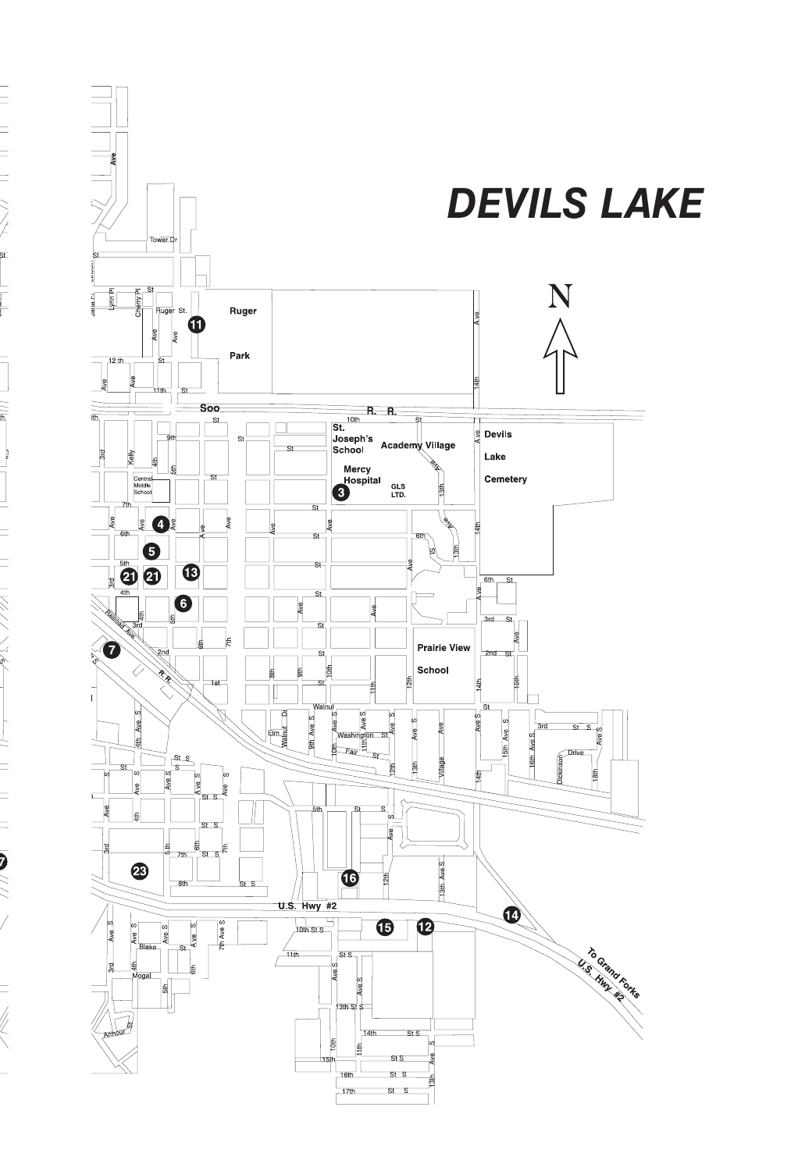

 $\equiv$ 

ニ ニ ニ ///\/ \ \ \ \ \ \ \

ļ

╕

 $\frac{1}{2}$ 

Ī

コーニー ニー ニンンメンタイト

 $\frac{1}{\sqrt{1-\frac{1}{2}}}$ 

 $=$ 

 $\equiv$   $\frac{1}{2}$ 

 $\equiv$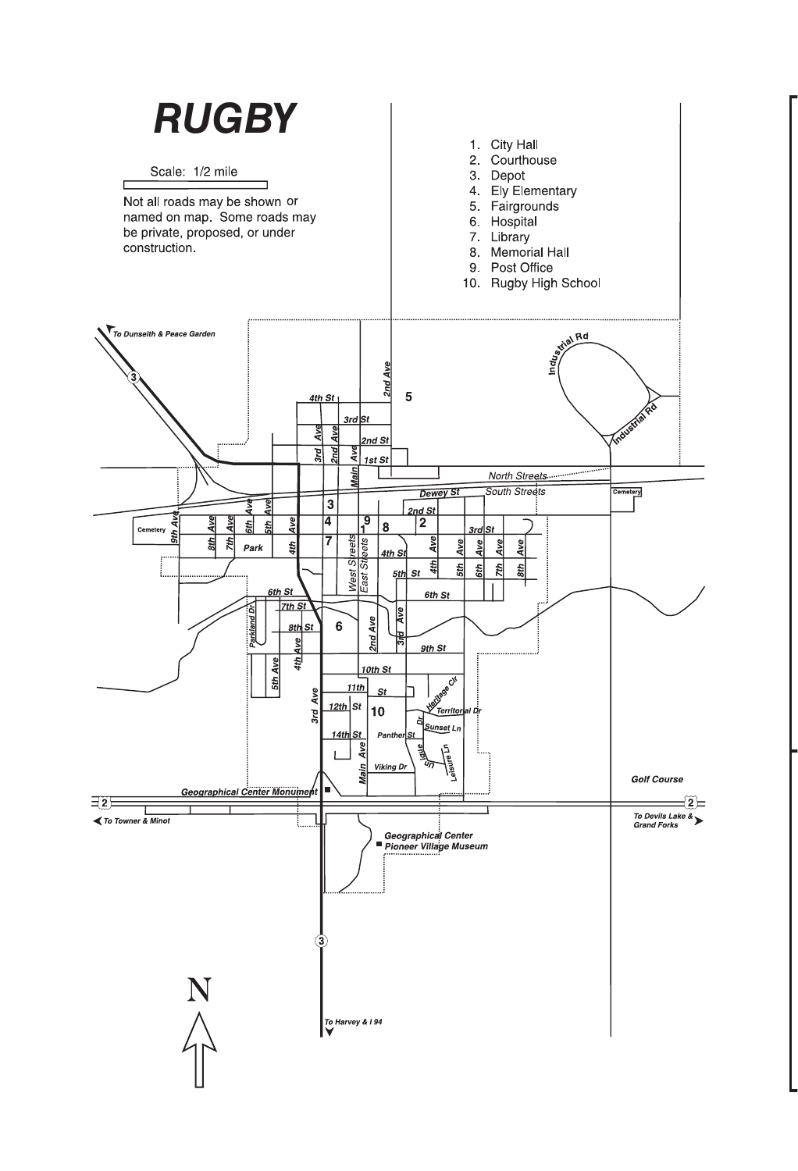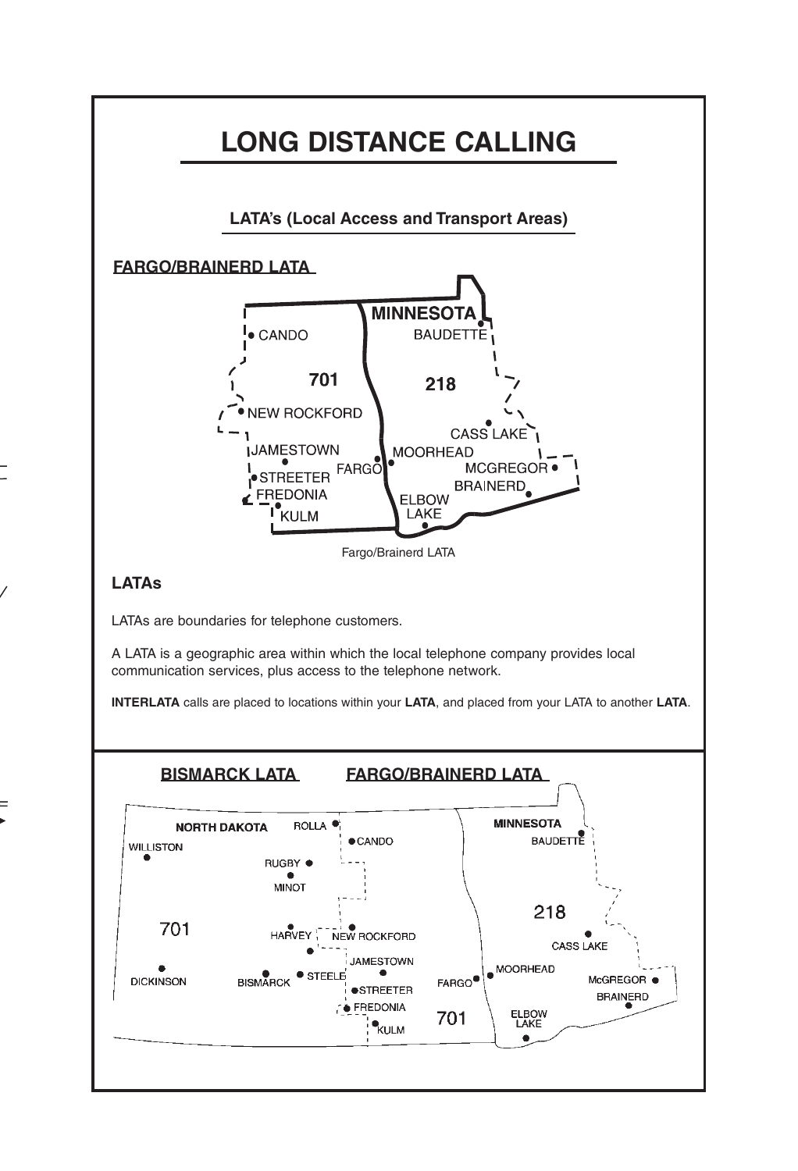

 $=$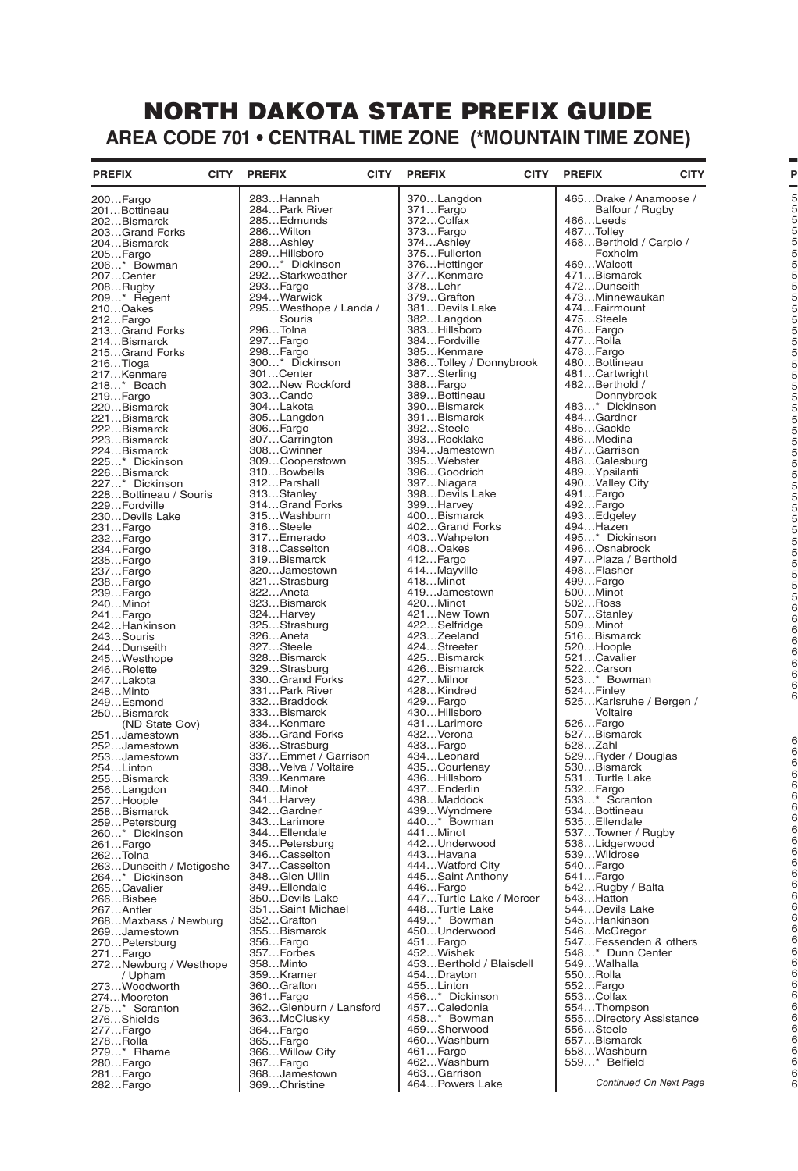## NORTH DAKOTA STATE PREFIX GUIDE **AREA CODE 701 • CENTRAL TIME ZONE (\*MOUNTAIN TIME ZONE)**

| <b>PREFIX</b>                    | <b>CITY</b> | <b>PREFIX</b>                       | <b>CITY</b> | <b>PREFIX</b>                        | <b>CITY</b> | <b>CITY</b><br><b>PREFIX</b>        |  |
|----------------------------------|-------------|-------------------------------------|-------------|--------------------------------------|-------------|-------------------------------------|--|
| 200Fargo                         |             | 283Hannah                           |             | 370Langdon                           |             | 465Drake / Anamoose /               |  |
| 201Bottineau                     |             | 284Park River                       |             | 371Fargo                             |             | Balfour / Rugby                     |  |
| 202Bismarck                      |             | 285Edmunds                          |             | 372Colfax                            |             | 466Leeds                            |  |
| 203Grand Forks                   |             | 286Wilton                           |             | 373Fargo<br>374…Ashley               |             | 467Tolley<br>468Berthold / Carpio / |  |
| 204Bismarck<br>205Fargo          |             | 288Ashley<br>289Hillsboro           |             | 375Fullerton                         |             | Foxholm                             |  |
| 206* Bowman                      |             | 290* Dickinson                      |             | 376Hettinger                         |             | 469Walcott                          |  |
| 207…Center                       |             | 292Starkweather                     |             | 377Kenmare                           |             | 471Bismarck                         |  |
| 208Rugby                         |             | 293Fargo                            |             | 378Lehr                              |             | 472Dunseith                         |  |
| 209* Regent                      |             | 294Warwick                          |             | 379Grafton                           |             | 473Minnewaukan                      |  |
| 210Oakes<br>212Fargo             |             | 295Westhope / Landa /<br>Souris     |             | 381Devils Lake<br>382Langdon         |             | 474Fairmount<br>475Steele           |  |
| 213Grand Forks                   |             | 296Tolna                            |             | 383Hillsboro                         |             | 476Fargo                            |  |
| 214Bismarck                      |             | 297Fargo                            |             | 384Fordville                         |             | 477Rolla                            |  |
| 215Grand Forks                   |             | 298Fargo                            |             | 385Kenmare                           |             | 478Fargo                            |  |
| 216Tioga                         |             | 300* Dickinson                      |             | 386Tolley / Donnybrook               |             | 480Bottineau                        |  |
| 217Kenmare                       |             | 301Center                           |             | 387Sterling                          |             | 481Cartwright                       |  |
| 218* Beach<br>219Fargo           |             | 302New Rockford<br>303Cando         |             | 388Fargo<br>389Bottineau             |             | 482Berthold /<br>Donnybrook         |  |
| 220Bismarck                      |             | 304Lakota                           |             | 390Bismarck                          |             | 483* Dickinson                      |  |
| 221Bismarck                      |             | 305Langdon                          |             | 391Bismarck                          |             | 484Gardner                          |  |
| 222Bismarck                      |             | 306Fargo                            |             | 392Steele                            |             | 485Gackle                           |  |
| 223Bismarck                      |             | 307Carrington                       |             | 393Rocklake                          |             | 486Medina                           |  |
| 224Bismarck                      |             | 308Gwinner                          |             | 394Jamestown                         |             | 487Garrison                         |  |
| 225* Dickinson<br>226Bismarck    |             | 309Cooperstown<br>310Bowbells       |             | 395Webster<br>396Goodrich            |             | 488Galesburg<br>489Ypsilanti        |  |
| 227* Dickinson                   |             | 312Parshall                         |             | 397Niagara                           |             | 490Valley City                      |  |
| 228Bottineau / Souris            |             | 313Stanley                          |             | 398Devils Lake                       |             | 491Fargo                            |  |
| 229Fordville                     |             | 314Grand Forks                      |             | 399Harvey                            |             | 492Fargo                            |  |
| 230Devils Lake                   |             | 315Washburn                         |             | 400Bismarck                          |             | 493Edgeley                          |  |
| 231Fargo                         |             | 316Steele                           |             | 402Grand Forks                       |             | 494Hazen                            |  |
| 232Fargo<br>234Fargo             |             | 317Emerado                          |             | 403Wahpeton<br>408Oakes              |             | 495* Dickinson<br>496Osnabrock      |  |
| 235Fargo                         |             | 318Casselton<br>319Bismarck         |             | 412Fargo                             |             | 497Plaza / Berthold                 |  |
| 237Fargo                         |             | 320Jamestown                        |             | 414Mayville                          |             | 498Flasher                          |  |
| 238Fargo                         |             | 321Strasburg                        |             | 418Minot                             |             | 499Fargo                            |  |
| 239Fargo                         |             | 322Aneta                            |             | 419Jamestown                         |             | 500Minot                            |  |
| 240Minot                         |             | 323Bismarck                         |             | 420Minot                             |             | 502Ross                             |  |
| 241Fargo<br>242Hankinson         |             | 324Harvey<br>325Strasburg           |             | 421New Town<br>422Selfridge          |             | 507Stanley<br>509Minot              |  |
| 243Souris                        |             | 326Aneta                            |             | 423Zeeland                           |             | 516Bismarck                         |  |
| 244Dunseith                      |             | 327Steele                           |             | 424Streeter                          |             | 520Hoople                           |  |
| 245Westhope                      |             | 328Bismarck                         |             | 425Bismarck                          |             | 521Cavalier                         |  |
| 246Rolette                       |             | 329Strasburg                        |             | 426Bismarck                          |             | 522Carson                           |  |
| 247Lakota<br>248…Minto           |             | 330Grand Forks<br>331Park River     |             | 427Milnor<br>428Kindred              |             | 523* Bowman<br>524Finley            |  |
| 249Esmond                        |             | 332Braddock                         |             | 429Fargo                             |             | 525Karlsruhe / Bergen /             |  |
| 250Bismarck                      |             | 333Bismarck                         |             | 430Hillsboro                         |             | Voltaire                            |  |
| (ND State Gov)                   |             | 334Kenmare                          |             | 431Larimore                          |             | 526Fargo                            |  |
| 251Jamestown                     |             | 335Grand Forks                      |             | 432Verona                            |             | 527Bismarck                         |  |
| 252Jamestown<br>253Jamestown     |             | 336Strasburg<br>337Emmet / Garrison |             | 433Fargo<br>434Leonard               |             | 528Zahl<br>529Ryder / Douglas       |  |
| 254Linton                        |             | 338Velva / Voltaire                 |             | 435Courtenay                         |             | 530Bismarck                         |  |
| 255Bismarck                      |             | 339…Kenmare                         |             | 436…Hillsboro                        |             | 531Turtle Lake                      |  |
| 256Langdon                       |             | 340Minot                            |             | 437Enderlin                          |             | 532Fargo                            |  |
| 257Hoople                        |             | 341Harvey                           |             | 438Maddock                           |             | 533* Scranton                       |  |
| 258Bismarck                      |             | 342Gardner                          |             | 439Wyndmere<br>440* Bowman           |             | 534Bottineau<br>535Ellendale        |  |
| 259Petersburg<br>260* Dickinson  |             | 343Larimore<br>344Ellendale         |             | 441Minot                             |             | 537Towner / Rugby                   |  |
| 261Fargo                         |             | 345Petersburg                       |             | 442Underwood                         |             | 538Lidgerwood                       |  |
| 262Tolna                         |             | 346Casselton                        |             | 443Havana                            |             | 539Wildrose                         |  |
| 263Dunseith / Metigoshe          |             | 347Casselton                        |             | 444Watford City                      |             | 540Fargo                            |  |
| 264* Dickinson                   |             | 348Glen Ullin                       |             | 445Saint Anthony                     |             | 541Fargo                            |  |
| 265Cavalier<br>266Bisbee         |             | 349Ellendale<br>350Devils Lake      |             | 446Fargo<br>447Turtle Lake / Mercer  |             | 542Rugby / Balta<br>543Hatton       |  |
| 267Antler                        |             | 351Saint Michael                    |             | 448Turtle Lake                       |             | 544Devils Lake                      |  |
| 268Maxbass / Newburg             |             | 352Grafton                          |             | 449* Bowman                          |             | 545Hankinson                        |  |
| 269Jamestown                     |             | 355Bismarck                         |             | 450Underwood                         |             | 546McGregor                         |  |
| 270Petersburg                    |             | 356Fargo                            |             | 451Fargo                             |             | 547Fessenden & others               |  |
| 271Fargo                         |             | 357Forbes                           |             | 452Wishek<br>453Berthold / Blaisdell |             | 548* Dunn Center<br>549Walhalla     |  |
| 272Newburg / Westhope<br>/ Upham |             | 358Minto<br>359Kramer               |             | 454Drayton                           |             | 550Rolla                            |  |
| 273Woodworth                     |             | 360Grafton                          |             | 455Linton                            |             | 552Fargo                            |  |
| 274Mooreton                      |             | 361Fargo                            |             | 456* Dickinson                       |             | 553Colfax                           |  |
| 275* Scranton                    |             | 362Glenburn / Lansford              |             | 457Caledonia                         |             | 554Thompson                         |  |
| 276Shields                       |             | 363McClusky                         |             | 458* Bowman                          |             | 555Directory Assistance             |  |
| 277Fargo<br>278…Rolla            |             | 364Fargo<br>365Fargo                |             | 459Sherwood<br>460Washburn           |             | 556Steele<br>557Bismarck            |  |
| 279* Rhame                       |             | 366 Willow City                     |             | 461Fargo                             |             | 558Washburn                         |  |
| 280Fargo                         |             | 367Fargo                            |             | 462Washburn                          |             | 559* Belfield                       |  |
| 281Fargo                         |             | 368Jamestown                        |             | 463Garrison                          |             |                                     |  |
| 282Fargo                         |             | 369Christine                        |             | 464Powers Lake                       |             | Continued On Next Page              |  |

**PREFIX**

6 6 6 6 6 6 6 6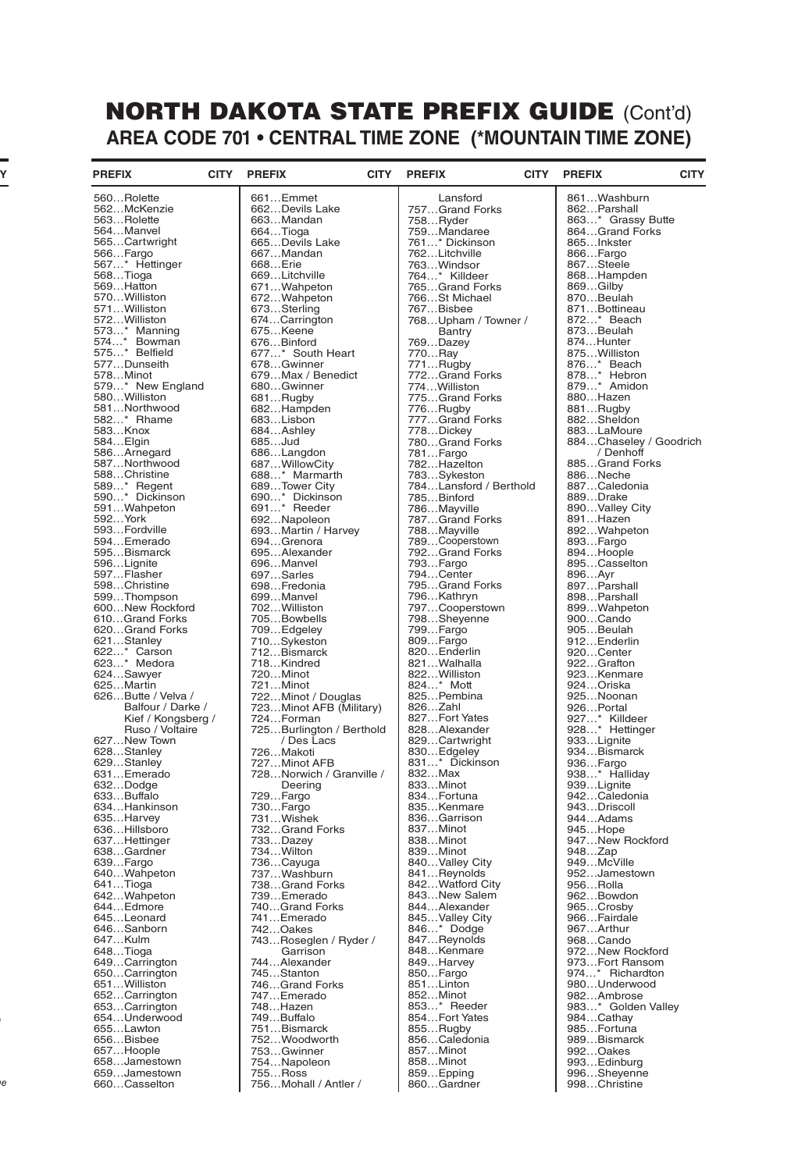## NORTH DAKOTA STATE PREFIX GUIDE (Cont'd) **AREA CODE 701 • CENTRAL TIME ZONE (\*MOUNTAIN TIME ZONE)**

| <b>PREFIX</b>                | <b>CITY</b> | <b>PREFIX</b>                     | <b>CITY</b> | <b>PREFIX</b>                         | <b>CITY</b> | <b>PREFIX</b>               | <b>CITY</b> |
|------------------------------|-------------|-----------------------------------|-------------|---------------------------------------|-------------|-----------------------------|-------------|
| 560Rolette                   |             | 661Emmet                          |             | Lansford                              |             | 861Washburn                 |             |
| 562McKenzie                  |             | 662Devils Lake                    |             | 757Grand Forks                        |             | 862Parshall                 |             |
| 563Rolette                   |             | 663Mandan                         |             | 758Ryder                              |             | 863* Grassy Butte           |             |
| 564Manvel                    |             | 664Tioga                          |             | 759Mandaree                           |             | 864Grand Forks              |             |
| 565Cartwright                |             | 665Devils Lake                    |             | 761* Dickinson                        |             | 865Inkster                  |             |
| 566Fargo                     |             | 667Mandan                         |             | 762Litchville                         |             | 866Fargo                    |             |
| 567* Hettinger               |             | 668Erie                           |             | 763Windsor                            |             | 867Steele                   |             |
| 568Tioga<br>569Hatton        |             | 669Litchville<br>671Wahpeton      |             | 764* Killdeer<br>765Grand Forks       |             | 868Hampden<br>869Gilby      |             |
| 570Williston                 |             | 672Wahpeton                       |             | 766St Michael                         |             | 870Beulah                   |             |
| 571Williston                 |             | 673Sterling                       |             | 767Bisbee                             |             | 871Bottineau                |             |
| 572 Williston                |             | 674Carrington                     |             | 768Upham / Towner /                   |             | 872* Beach                  |             |
| 573* Manning                 |             | 675Keene                          |             | <b>Bantry</b>                         |             | 873Beulah                   |             |
| 574* Bowman                  |             | 676Binford                        |             | 769Dazey                              |             | 874Hunter                   |             |
| 575* Belfield                |             | 677* South Heart                  |             | 770Ray                                |             | 875Williston                |             |
| 577Dunseith<br>578Minot      |             | 678Gwinner<br>679Max / Benedict   |             | 771Rugby                              |             | 876* Beach<br>878* Hebron   |             |
| 579* New England             |             | 680Gwinner                        |             | 772Grand Forks<br>774Williston        |             | 879* Amidon                 |             |
| 580Williston                 |             | 681Rugby                          |             | 775Grand Forks                        |             | 880Hazen                    |             |
| 581Northwood                 |             | 682Hampden                        |             | 776Rugby                              |             | 881Rugby                    |             |
| 582* Rhame                   |             | 683Lisbon                         |             | 777Grand Forks                        |             | 882Sheldon                  |             |
| 583Knox                      |             | 684Ashley                         |             | 778Dickey                             |             | 883LaMoure                  |             |
| 584Elgin                     |             | 685Jud                            |             | 780Grand Forks                        |             | 884Chaseley / Goodrich      |             |
| 586Arnegard                  |             | 686Langdon                        |             | 781Fargo                              |             | / Denhoff                   |             |
| 587Northwood<br>588Christine |             | 687WillowCity<br>688* Marmarth    |             | 782Hazelton                           |             | 885Grand Forks<br>886Neche  |             |
| 589* Regent                  |             | 689Tower City                     |             | 783Sykeston<br>784Lansford / Berthold |             | 887Caledonia                |             |
| 590* Dickinson               |             | 690* Dickinson                    |             | 785Binford                            |             | 889Drake                    |             |
| 591Wahpeton                  |             | 691* Reeder                       |             | 786Mayville                           |             | 890Valley City              |             |
| 592York                      |             | 692Napoleon                       |             | 787Grand Forks                        |             | 891Hazen                    |             |
| 593Fordville                 |             | 693Martin / Harvey                |             | 788Mayville                           |             | 892Wahpeton                 |             |
| 594Emerado                   |             | 694Grenora                        |             | 789Cooperstown                        |             | 893Fargo                    |             |
| 595Bismarck                  |             | 695Alexander                      |             | 792Grand Forks                        |             | 894Hoople                   |             |
| 596Lignite                   |             | 696Manvel                         |             | 793Fargo                              |             | 895Casselton                |             |
| 597Flasher<br>598Christine   |             | 697Sarles<br>698Fredonia          |             | 794Center<br>795Grand Forks           |             | 896Ayr<br>897Parshall       |             |
| 599Thompson                  |             | 699Manvel                         |             | 796Kathryn                            |             | 898Parshall                 |             |
| 600New Rockford              |             | 702Williston                      |             | 797Cooperstown                        |             | 899Wahpeton                 |             |
| 610Grand Forks               |             | 705Bowbells                       |             | 798Sheyenne                           |             | 900Cando                    |             |
| 620Grand Forks               |             | 709Edgeley                        |             | 799Fargo                              |             | 905Beulah                   |             |
| 621Stanley                   |             | 710Sykeston                       |             | 809Fargo                              |             | 912Enderlin                 |             |
| 622* Carson                  |             | 712Bismarck                       |             | 820Enderlin                           |             | 920Center                   |             |
| 623* Medora                  |             | 718Kindred                        |             | 821Walhalla<br>822 Williston          |             | 922Grafton                  |             |
| 624Sawyer<br>625Martin       |             | 720Minot<br>721Minot              |             | 824* Mott                             |             | 923Kenmare<br>924Oriska     |             |
| 626Butte / Velva /           |             | 722Minot / Douglas                |             | 825Pembina                            |             | 925Noonan                   |             |
| Balfour / Darke /            |             | 723Minot AFB (Military)           |             | 826Zahl                               |             | 926Portal                   |             |
| Kief / Kongsberg /           |             | 724Forman                         |             | 827Fort Yates                         |             | 927* Killdeer               |             |
| Ruso / Voltaire              |             | 725Burlington / Berthold          |             | 828Alexander                          |             | 928* Hettinger              |             |
| 627New Town                  |             | / Des Lacs                        |             | 829Cartwright                         |             | 933Lignite                  |             |
| 628Stanley                   |             | 726Makoti<br>727Minot AFB         |             | 830Edgeley<br>831* Dickinson          |             | 934Bismarck                 |             |
| 629Stanley<br>631Emerado     |             | 728Norwich / Granville /          |             | 832Max                                |             | 936Fargo<br>938* Halliday   |             |
| 632Dodge                     |             | Deering                           |             | 833Minot                              |             | 939Lignite                  |             |
| 633Buffalo                   |             | 729Fargo                          |             | 834Fortuna                            |             | 942Caledonia                |             |
| 634Hankinson                 |             | 730Fargo                          |             | 835Kenmare                            |             | 943Driscoll                 |             |
| 635Harvey                    |             | 731Wishek                         |             | 836Garrison                           |             | 944Adams                    |             |
| 636Hillsboro                 |             | 732Grand Forks                    |             | 837Minot                              |             | 945Hope                     |             |
| 637Hettinger<br>638Gardner   |             | 733Dazey<br>734Wilton             |             | 838Minot<br>839Minot                  |             | 947New Rockford<br>948Zap   |             |
| 639Fargo                     |             | 736Cayuga                         |             | 840Valley City                        |             | 949McVille                  |             |
| 640Wahpeton                  |             | 737Washburn                       |             | 841Reynolds                           |             | 952Jamestown                |             |
| 641Tioga                     |             | 738Grand Forks                    |             | 842Watford City                       |             | 956Rolla                    |             |
| 642Wahpeton                  |             | 739Emerado                        |             | 843New Salem                          |             | 962Bowdon                   |             |
| 644Edmore                    |             | 740Grand Forks                    |             | 844Alexander                          |             | 965Crosby                   |             |
| 645Leonard                   |             | 741Emerado                        |             | 845Valley City                        |             | 966Fairdale                 |             |
| 646Sanborn<br>647Kulm        |             | 742Oakes                          |             | 846* Dodge<br>847Reynolds             |             | 967Arthur                   |             |
| 648Tioga                     |             | 743Roseglen / Ryder /<br>Garrison |             | 848Kenmare                            |             | 968Cando<br>972New Rockford |             |
| 649Carrington                |             | 744Alexander                      |             | 849Harvey                             |             | 973Fort Ransom              |             |
| 650Carrington                |             | 745Stanton                        |             | 850Fargo                              |             | 974* Richardton             |             |
| 651Williston                 |             | 746Grand Forks                    |             | 851Linton                             |             | 980Underwood                |             |
| 652Carrington                |             | 747Emerado                        |             | 852Minot                              |             | 982Ambrose                  |             |
| 653Carrington                |             | 748Hazen                          |             | 853* Reeder                           |             | 983* Golden Valley          |             |
| 654Underwood                 |             | 749Buffalo                        |             | 854Fort Yates                         |             | 984Cathay                   |             |
| 655Lawton<br>656Bisbee       |             | 751Bismarck<br>752Woodworth       |             | 855Rugby<br>856Caledonia              |             | 985Fortuna<br>989Bismarck   |             |
| 657Hoople                    |             | 753Gwinner                        |             | 857Minot                              |             | 992Oakes                    |             |
| 658Jamestown                 |             | 754Napoleon                       |             | 858Minot                              |             | 993Edinburg                 |             |
| 659Jamestown                 |             | 755Ross                           |             | 859Epping                             |             | 996Sheyenne                 |             |
| 660Casselton                 |             | 756Mohall / Antler /              |             | 860Gardner                            |             | 998Christine                |             |

555…Directory Assistance

*Continued On Next Page*